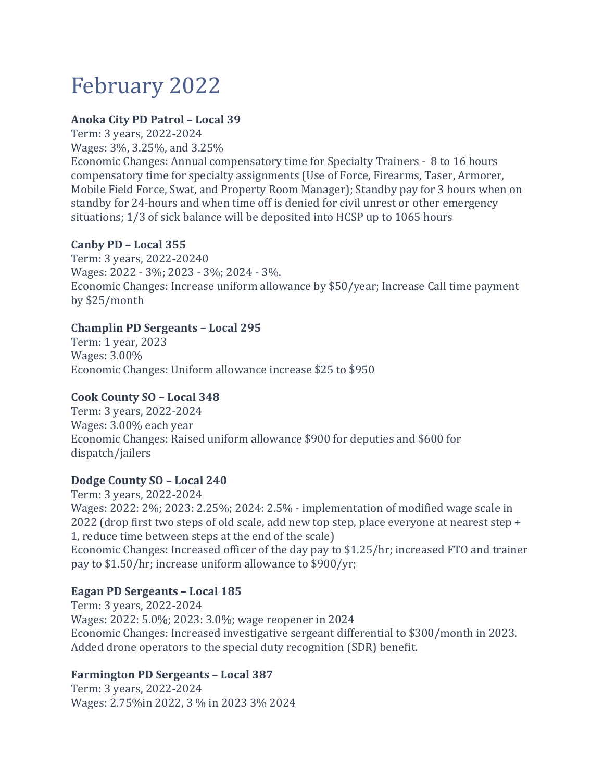# February 2022

## **Anoka City PD Patrol – Local 39**

Term: 3 years, 2022-2024 Wages: 3%, 3.25%, and 3.25%

Economic Changes: Annual compensatory time for Specialty Trainers - 8 to 16 hours compensatory time for specialty assignments (Use of Force, Firearms, Taser, Armorer, Mobile Field Force, Swat, and Property Room Manager); Standby pay for 3 hours when on standby for 24-hours and when time off is denied for civil unrest or other emergency situations; 1/3 of sick balance will be deposited into HCSP up to 1065 hours

## **Canby PD – Local 355**

Term: 3 years, 2022-20240 Wages: 2022 - 3%; 2023 - 3%; 2024 - 3%. Economic Changes: Increase uniform allowance by \$50/year; Increase Call time payment by \$25/month

## **Champlin PD Sergeants – Local 295**

Term: 1 year, 2023 Wages: 3.00% Economic Changes: Uniform allowance increase \$25 to \$950

## **Cook County SO – Local 348**

Term: 3 years, 2022-2024 Wages: 3.00% each year Economic Changes: Raised uniform allowance \$900 for deputies and \$600 for dispatch/jailers

## **Dodge County SO – Local 240**

Term: 3 years, 2022-2024 Wages: 2022: 2%; 2023: 2.25%; 2024: 2.5% - implementation of modified wage scale in 2022 (drop first two steps of old scale, add new top step, place everyone at nearest step + 1, reduce time between steps at the end of the scale) Economic Changes: Increased officer of the day pay to \$1.25/hr; increased FTO and trainer pay to \$1.50/hr; increase uniform allowance to \$900/yr;

## **Eagan PD Sergeants – Local 185**

Term: 3 years, 2022-2024 Wages: 2022: 5.0%; 2023: 3.0%; wage reopener in 2024 Economic Changes: Increased investigative sergeant differential to \$300/month in 2023. Added drone operators to the special duty recognition (SDR) benefit.

## **Farmington PD Sergeants – Local 387**

Term: 3 years, 2022-2024 Wages: 2.75%in 2022, 3 % in 2023 3% 2024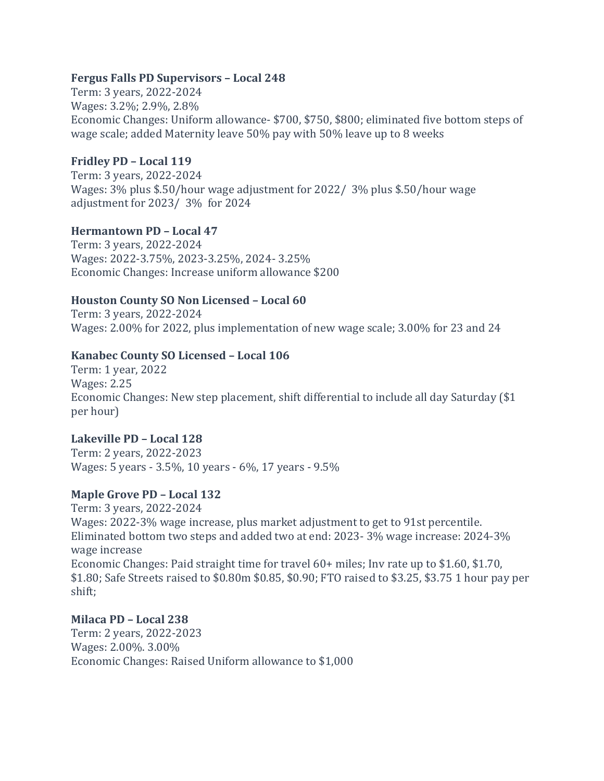#### **Fergus Falls PD Supervisors – Local 248**

Term: 3 years, 2022-2024 Wages: 3.2%; 2.9%, 2.8% Economic Changes: Uniform allowance- \$700, \$750, \$800; eliminated five bottom steps of wage scale; added Maternity leave 50% pay with 50% leave up to 8 weeks

## **Fridley PD – Local 119**

Term: 3 years, 2022-2024 Wages: 3% plus \$.50/hour wage adjustment for 2022/ 3% plus \$.50/hour wage adjustment for 2023/ 3% for 2024

## **Hermantown PD – Local 47**

Term: 3 years, 2022-2024 Wages: 2022-3.75%, 2023-3.25%, 2024- 3.25% Economic Changes: Increase uniform allowance \$200

## **Houston County SO Non Licensed – Local 60**

Term: 3 years, 2022-2024 Wages: 2.00% for 2022, plus implementation of new wage scale; 3.00% for 23 and 24

## **Kanabec County SO Licensed – Local 106**

Term: 1 year, 2022 Wages: 2.25 Economic Changes: New step placement, shift differential to include all day Saturday (\$1 per hour)

## **Lakeville PD – Local 128**

Term: 2 years, 2022-2023 Wages: 5 years - 3.5%, 10 years - 6%, 17 years - 9.5%

# **Maple Grove PD – Local 132**

Term: 3 years, 2022-2024 Wages: 2022-3% wage increase, plus market adjustment to get to 91st percentile. Eliminated bottom two steps and added two at end: 2023- 3% wage increase: 2024-3% wage increase Economic Changes: Paid straight time for travel 60+ miles; Inv rate up to \$1.60, \$1.70, \$1.80; Safe Streets raised to \$0.80m \$0.85, \$0.90; FTO raised to \$3.25, \$3.75 1 hour pay per shift;

## **Milaca PD – Local 238**

Term: 2 years, 2022-2023 Wages: 2.00%. 3.00% Economic Changes: Raised Uniform allowance to \$1,000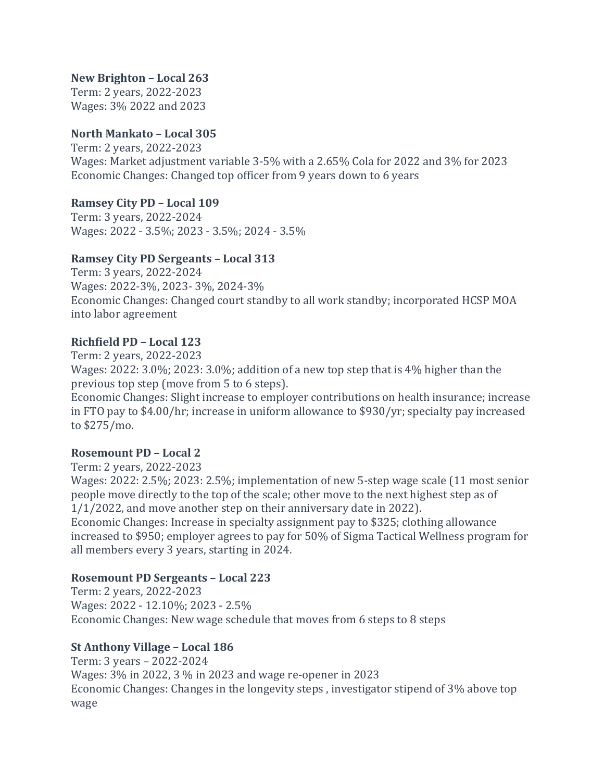## **New Brighton – Local 263**

Term: 2 years, 2022-2023 Wages: 3% 2022 and 2023

## **North Mankato – Local 305**

Term: 2 years, 2022-2023 Wages: Market adjustment variable 3-5% with a 2.65% Cola for 2022 and 3% for 2023 Economic Changes: Changed top officer from 9 years down to 6 years

## **Ramsey City PD – Local 109**

Term: 3 years, 2022-2024 Wages: 2022 - 3.5%; 2023 - 3.5%; 2024 - 3.5%

## **Ramsey City PD Sergeants – Local 313**

Term: 3 years, 2022-2024 Wages: 2022-3%, 2023- 3%, 2024-3% Economic Changes: Changed court standby to all work standby; incorporated HCSP MOA into labor agreement

## **Richfield PD – Local 123**

Term: 2 years, 2022-2023

Wages: 2022: 3.0%; 2023: 3.0%; addition of a new top step that is 4% higher than the previous top step (move from 5 to 6 steps).

Economic Changes: Slight increase to employer contributions on health insurance; increase in FTO pay to \$4.00/hr; increase in uniform allowance to \$930/yr; specialty pay increased to \$275/mo.

# **Rosemount PD – Local 2**

Term: 2 years, 2022-2023

Wages: 2022: 2.5%; 2023: 2.5%; implementation of new 5-step wage scale (11 most senior people move directly to the top of the scale; other move to the next highest step as of 1/1/2022, and move another step on their anniversary date in 2022).

Economic Changes: Increase in specialty assignment pay to \$325; clothing allowance increased to \$950; employer agrees to pay for 50% of Sigma Tactical Wellness program for all members every 3 years, starting in 2024.

# **Rosemount PD Sergeants – Local 223**

Term: 2 years, 2022-2023 Wages: 2022 - 12.10%; 2023 - 2.5% Economic Changes: New wage schedule that moves from 6 steps to 8 steps

# **St Anthony Village – Local 186**

Term: 3 years – 2022-2024 Wages: 3% in 2022, 3 % in 2023 and wage re-opener in 2023 Economic Changes: Changes in the longevity steps , investigator stipend of 3% above top wage